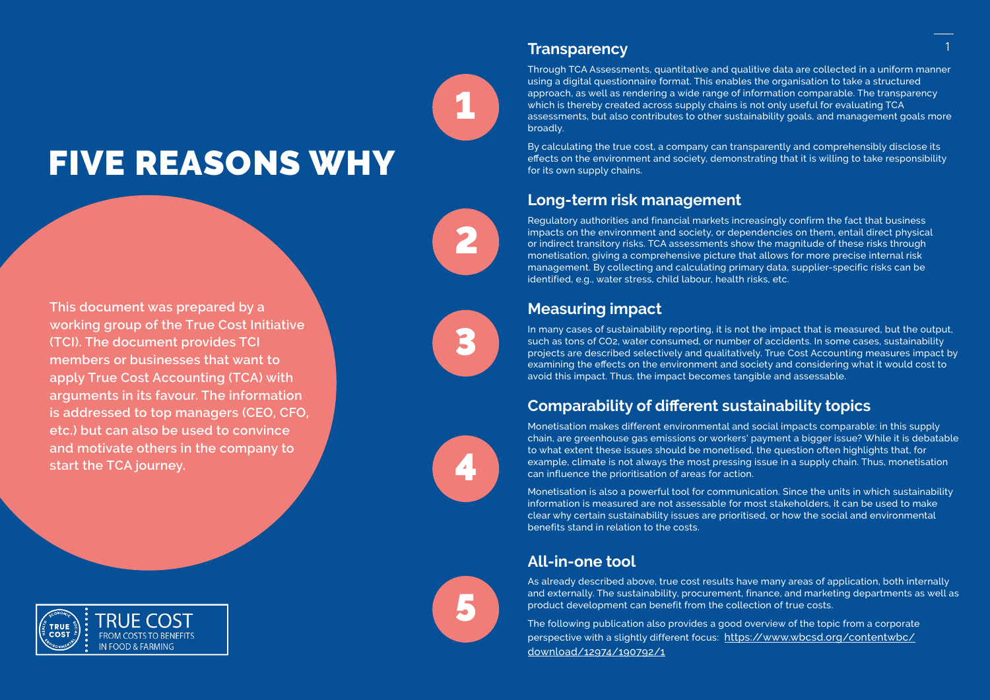# FIVE REASONS WHY

**This document was prepared by a working group of the True Cost Initiative (TCI). The document provides TCI members or businesses that want to apply True Cost Accounting (TCA) with arguments in its favour. The information is addressed to top managers (CEO, CFO, etc.) but can also be used to convince and motivate others in the company to start the TCA journey.** 



#### **Transparency**

Through TCA Assessments, quantitative and qualitive data are collected in a uniform manner using a digital questionnaire format. This enables the organisation to take a structured approach, as well as rendering a wide range of information comparable. The transparency which is thereby created across supply chains is not only useful for evaluating TCA assessments, but also contributes to other sustainability goals, and management goals more broadly.

By calculating the true cost, a company can transparently and comprehensibly disclose its effects on the environment and society, demonstrating that it is willing to take responsibility for its own supply chains.

#### **Long-term risk management**

Regulatory authorities and financial markets increasingly confirm the fact that business impacts on the environment and society, or dependencies on them, entail direct physical or indirect transitory risks. TCA assessments show the magnitude of these risks through monetisation, giving a comprehensive picture that allows for more precise internal risk management. By collecting and calculating primary data, supplier-specific risks can be identified, e.g., water stress, child labour, health risks, etc.

## **Measuring impact**

In many cases of sustainability reporting, it is not the impact that is measured, but the output, such as tons of CO2, water consumed, or number of accidents. In some cases, sustainability projects are described selectively and qualitatively. True Cost Accounting measures impact by examining the effects on the environment and society and considering what it would cost to avoid this impact. Thus, the impact becomes tangible and assessable.

## **Comparability of different sustainability topics**

Monetisation makes different environmental and social impacts comparable: in this supply chain, are greenhouse gas emissions or workers' payment a bigger issue? While it is debatable to what extent these issues should be monetised, the question often highlights that, for example, climate is not always the most pressing issue in a supply chain. Thus, monetisation can influence the prioritisation of areas for action.

Monetisation is also a powerful tool for communication. Since the units in which sustainability information is measured are not assessable for most stakeholders, it can be used to make clear why certain sustainability issues are prioritised, or how the social and environmental benefits stand in relation to the costs.

## **All-in-one tool**

As already described above, true cost results have many areas of application, both internally and externally. The sustainability, procurement, finance, and marketing departments as well as product development can benefit from the collection of true costs.

The following publication also provides a good overview of the topic from a corporate perspective with a slightly different focus: [https://www.wbcsd.org/contentwbc/](https://www.wbcsd.org/contentwbc/download/12974/190792/1) [download/12974/190792/1](https://www.wbcsd.org/contentwbc/download/12974/190792/1)



1

2

3